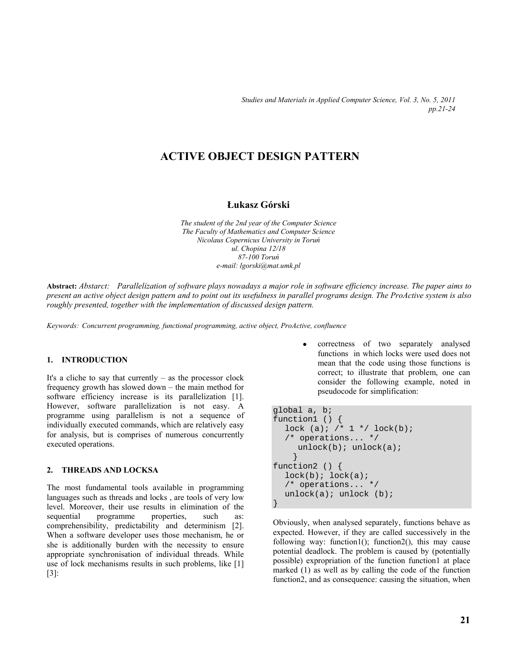*Studies and Materials in Applied Computer Science, Vol. 3, No. 5, 2011 pp.21-24* 

# **ACTIVE OBJECT DESIGN PATTERN**

## **Łukasz Górski**

*The student of the 2nd year of the Computer Science The Faculty of Mathematics and Computer Science Nicolaus Copernicus University in Toruń ul. Chopina 12/18 87-100 Toruń e-mail: lgorski@mat.umk.pl* 

**Abstract:** *Abstarct: Parallelization of software plays nowadays a major role in software efficiency increase. The paper aims to present an active object design pattern and to point out its usefulness in parallel programs design. The ProActive system is also roughly presented, together with the implementation of discussed design pattern.* 

*Keywords: Concurrent programming, functional programming, active object, ProActive, confluence* 

### **1. INTRODUCTION**

It's a cliche to say that currently  $-$  as the processor clock frequency growth has slowed down – the main method for software efficiency increase is its parallelization [1]. However, software parallelization is not easy. A programme using parallelism is not a sequence of individually executed commands, which are relatively easy for analysis, but is comprises of numerous concurrently executed operations.

#### **2. THREADS AND LOCKSA**

The most fundamental tools available in programming languages such as threads and locks , are tools of very low level. Moreover, their use results in elimination of the sequential programme properties, such as: comprehensibility, predictability and determinism [2]. When a software developer uses those mechanism, he or she is additionally burden with the necessity to ensure appropriate synchronisation of individual threads. While use of lock mechanisms results in such problems, like [1] [3]:

 correctness of two separately analysed functions in which locks were used does not mean that the code using those functions is correct; to illustrate that problem, one can consider the following example, noted in pseudocode for simplification:

```
global a, b; 
function1 () { 
  lock (a); /* 1 */ lock(b);
   /* operations... */ 
     unlock(b); unlock(a);
 } 
function2 () { 
  lock(b); lock(a); /* operations... */ 
  unlock(a); unlock (b);
}
```
Obviously, when analysed separately, functions behave as expected. However, if they are called successively in the following way: function1(); function2(), this may cause potential deadlock. The problem is caused by (potentially possible) expropriation of the function function1 at place marked (1) as well as by calling the code of the function function2, and as consequence: causing the situation, when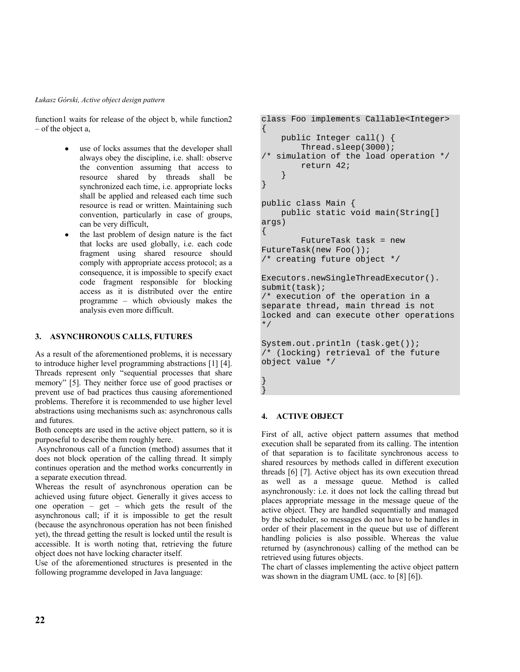#### *Łukasz Górski, Active object design pattern*

function1 waits for release of the object b, while function2 – of the object a,

- use of locks assumes that the developer shall always obey the discipline, i.e. shall: observe the convention assuming that access to resource shared by threads shall be synchronized each time, i.e. appropriate locks shall be applied and released each time such resource is read or written. Maintaining such convention, particularly in case of groups, can be very difficult,
- $\bullet$  the last problem of design nature is the fact that locks are used globally, i.e. each code fragment using shared resource should comply with appropriate access protocol; as a consequence, it is impossible to specify exact code fragment responsible for blocking access as it is distributed over the entire programme – which obviously makes the analysis even more difficult.

### **3. ASYNCHRONOUS CALLS, FUTURES**

As a result of the aforementioned problems, it is necessary to introduce higher level programming abstractions [1] [4]. Threads represent only "sequential processes that share memory" [5]. They neither force use of good practises or prevent use of bad practices thus causing aforementioned problems. Therefore it is recommended to use higher level abstractions using mechanisms such as: asynchronous calls and futures.

Both concepts are used in the active object pattern, so it is purposeful to describe them roughly here.

 Asynchronous call of a function (method) assumes that it does not block operation of the calling thread. It simply continues operation and the method works concurrently in a separate execution thread.

Whereas the result of asynchronous operation can be achieved using future object. Generally it gives access to one operation – get – which gets the result of the asynchronous call; if it is impossible to get the result (because the asynchronous operation has not been finished yet), the thread getting the result is locked until the result is accessible. It is worth noting that, retrieving the future object does not have locking character itself.

Use of the aforementioned structures is presented in the following programme developed in Java language:

```
class Foo implements Callable<Integer> 
{ 
     public Integer call() { 
         Thread.sleep(3000); 
/* simulation of the load operation */ 
         return 42; 
 } 
} 
public class Main { 
     public static void main(String[] 
args) 
{ 
         FutureTask task = new 
FutureTask(new Foo()); 
/* creating future object */ 
Executors.newSingleThreadExecutor(). 
submit(task); 
/* execution of the operation in a 
separate thread, main thread is not 
locked and can execute other operations 
*/ 
System.out.println (task.get()); 
/* (locking) retrieval of the future 
object value */ 
} 
}
```
#### **4. ACTIVE OBJECT**

First of all, active object pattern assumes that method execution shall be separated from its calling. The intention of that separation is to facilitate synchronous access to shared resources by methods called in different execution threads [6] [7]. Active object has its own execution thread as well as a message queue. Method is called asynchronously: i.e. it does not lock the calling thread but places appropriate message in the message queue of the active object. They are handled sequentially and managed by the scheduler, so messages do not have to be handles in order of their placement in the queue but use of different handling policies is also possible. Whereas the value returned by (asynchronous) calling of the method can be retrieved using futures objects.

The chart of classes implementing the active object pattern was shown in the diagram UML (acc. to [8] [6]).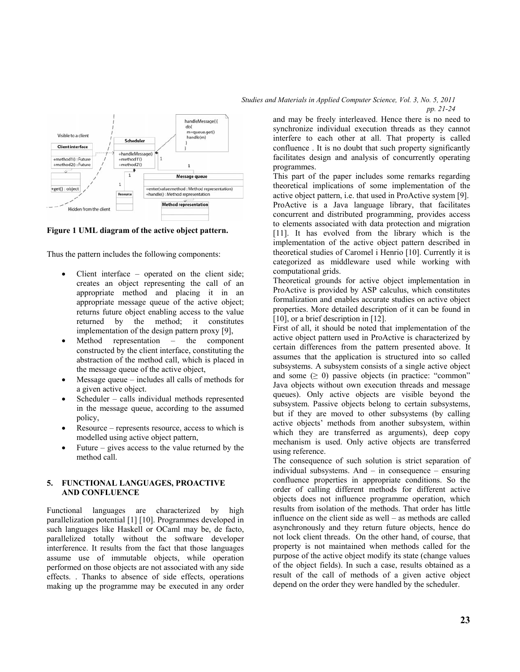

**Figure 1 UML diagram of the active object pattern.** 

Thus the pattern includes the following components:

- Client interface operated on the client side; creates an object representing the call of an appropriate method and placing it in an appropriate message queue of the active object; returns future object enabling access to the value returned by the method; it constitutes implementation of the design pattern proxy [9],
- Method representation the component constructed by the client interface, constituting the abstraction of the method call, which is placed in the message queue of the active object,
- Message queue includes all calls of methods for a given active object.
- Scheduler calls individual methods represented in the message queue, according to the assumed policy,
- Resource represents resource, access to which is modelled using active object pattern,
- Future gives access to the value returned by the method call.

#### **5. FUNCTIONAL LANGUAGES, PROACTIVE AND CONFLUENCE**

Functional languages are characterized by high parallelization potential [1] [10]. Programmes developed in such languages like Haskell or OCaml may be, de facto, parallelized totally without the software developer interference. It results from the fact that those languages assume use of immutable objects, while operation performed on those objects are not associated with any side effects. . Thanks to absence of side effects, operations making up the programme may be executed in any order

*Studies and Materials in Applied Computer Science, Vol. 3, No. 5, 2011 pp. 21-24* 

> and may be freely interleaved. Hence there is no need to synchronize individual execution threads as they cannot interfere to each other at all. That property is called confluence . It is no doubt that such property significantly facilitates design and analysis of concurrently operating programmes.

This part of the paper includes some remarks regarding theoretical implications of some implementation of the active object pattern, i.e. that used in ProActive system [9]. ProActive is a Java language library, that facilitates concurrent and distributed programming, provides access to elements associated with data protection and migration [11]. It has evolved from the library which is the implementation of the active object pattern described in theoretical studies of Caromel i Henrio [10]. Currently it is categorized as middleware used while working with computational grids.

Theoretical grounds for active object implementation in ProActive is provided by ASP calculus, which constitutes formalization and enables accurate studies on active object properties. More detailed description of it can be found in [10], or a brief description in [12].

First of all, it should be noted that implementation of the active object pattern used in ProActive is characterized by certain differences from the pattern presented above. It assumes that the application is structured into so called subsystems. A subsystem consists of a single active object and some  $(≥ 0)$  passive objects (in practice: "common" Java objects without own execution threads and message queues). Only active objects are visible beyond the subsystem. Passive objects belong to certain subsystems, but if they are moved to other subsystems (by calling active objects' methods from another subsystem, within which they are transferred as arguments), deep copy mechanism is used. Only active objects are transferred using reference.

The consequence of such solution is strict separation of individual subsystems. And – in consequence – ensuring confluence properties in appropriate conditions. So the order of calling different methods for different active objects does not influence programme operation, which results from isolation of the methods. That order has little influence on the client side as well – as methods are called asynchronously and they return future objects, hence do not lock client threads. On the other hand, of course, that property is not maintained when methods called for the purpose of the active object modify its state (change values of the object fields). In such a case, results obtained as a result of the call of methods of a given active object depend on the order they were handled by the scheduler.